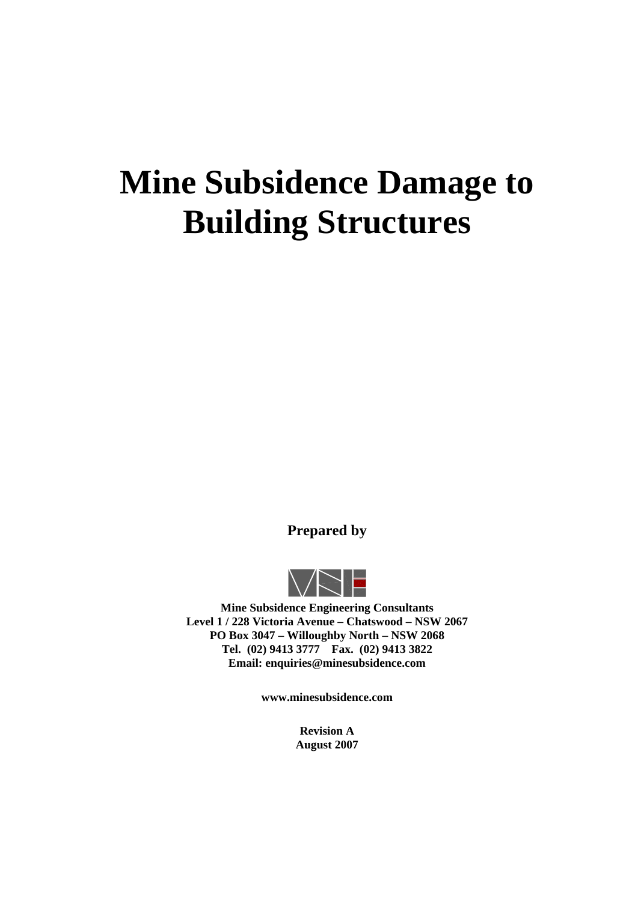# **Mine Subsidence Damage to Building Structures**

**Prepared by** 



**Mine Subsidence Engineering Consultants Level 1 / 228 Victoria Avenue – Chatswood – NSW 2067 PO Box 3047 – Willoughby North – NSW 2068 Tel. (02) 9413 3777 Fax. (02) 9413 3822 Email: enquiries@minesubsidence.com** 

**www.minesubsidence.com** 

**Revision A August 2007**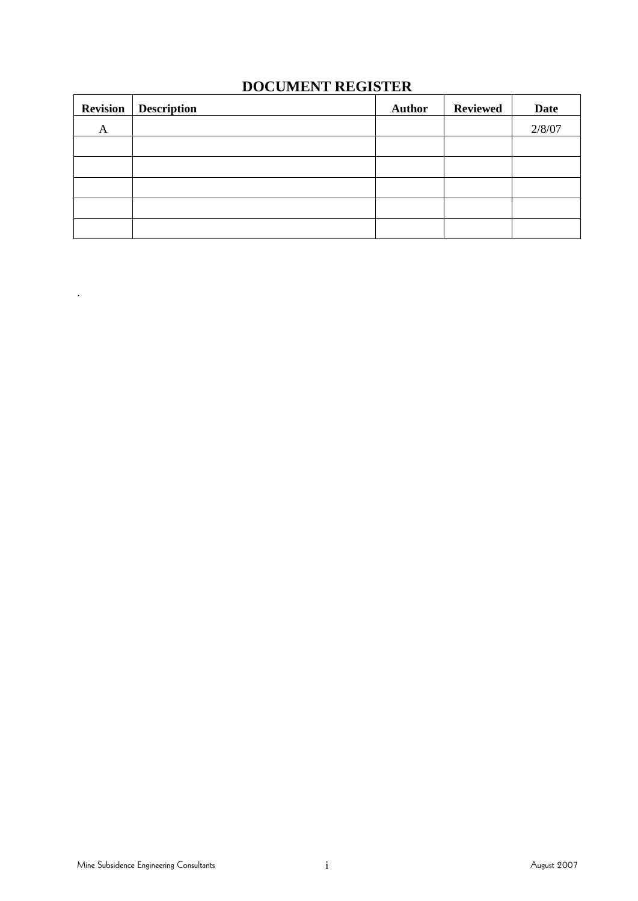# **DOCUMENT REGISTER**

|   | <b>Revision</b>   Description | <b>Author</b> | <b>Reviewed</b> | Date   |
|---|-------------------------------|---------------|-----------------|--------|
| A |                               |               |                 | 2/8/07 |
|   |                               |               |                 |        |
|   |                               |               |                 |        |
|   |                               |               |                 |        |
|   |                               |               |                 |        |
|   |                               |               |                 |        |

.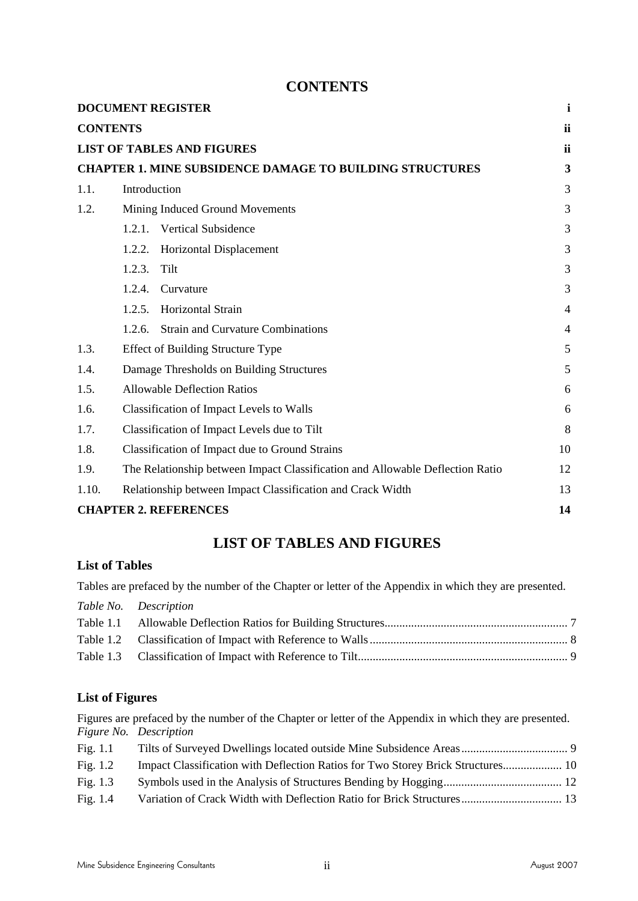## **CONTENTS**

|       | <b>DOCUMENT REGISTER</b>                                                      | $\mathbf{i}$   |
|-------|-------------------------------------------------------------------------------|----------------|
|       | <b>CONTENTS</b>                                                               | ii             |
|       | <b>LIST OF TABLES AND FIGURES</b>                                             | ii             |
|       | <b>CHAPTER 1. MINE SUBSIDENCE DAMAGE TO BUILDING STRUCTURES</b>               | 3              |
| 1.1.  | Introduction                                                                  | 3              |
| 1.2.  | Mining Induced Ground Movements                                               | 3              |
|       | <b>Vertical Subsidence</b><br>1.2.1.                                          | 3              |
|       | Horizontal Displacement<br>1.2.2.                                             | 3              |
|       | 1.2.3.<br>Tilt                                                                | 3              |
|       | 1.2.4.<br>Curvature                                                           | 3              |
|       | Horizontal Strain<br>1.2.5.                                                   | 4              |
|       | <b>Strain and Curvature Combinations</b><br>1.2.6.                            | $\overline{4}$ |
| 1.3.  | <b>Effect of Building Structure Type</b>                                      | 5              |
| 1.4.  | Damage Thresholds on Building Structures                                      | 5              |
| 1.5.  | <b>Allowable Deflection Ratios</b>                                            | 6              |
| 1.6.  | <b>Classification of Impact Levels to Walls</b>                               | 6              |
| 1.7.  | Classification of Impact Levels due to Tilt                                   | 8              |
| 1.8.  | Classification of Impact due to Ground Strains                                | 10             |
| 1.9.  | The Relationship between Impact Classification and Allowable Deflection Ratio | 12             |
| 1.10. | Relationship between Impact Classification and Crack Width                    | 13             |
|       | <b>CHAPTER 2. REFERENCES</b>                                                  | 14             |

## **LIST OF TABLES AND FIGURES**

## **List of Tables**

Tables are prefaced by the number of the Chapter or letter of the Appendix in which they are presented.

*Table No. Description* 

## **List of Figures**

Figures are prefaced by the number of the Chapter or letter of the Appendix in which they are presented. *Figure No. Description* 

| Fig. $1.1$ |                                                                                 |  |
|------------|---------------------------------------------------------------------------------|--|
| Fig. $1.2$ | Impact Classification with Deflection Ratios for Two Storey Brick Structures 10 |  |
| Fig. $1.3$ |                                                                                 |  |
| Fig. $1.4$ | Variation of Crack Width with Deflection Ratio for Brick Structures 13          |  |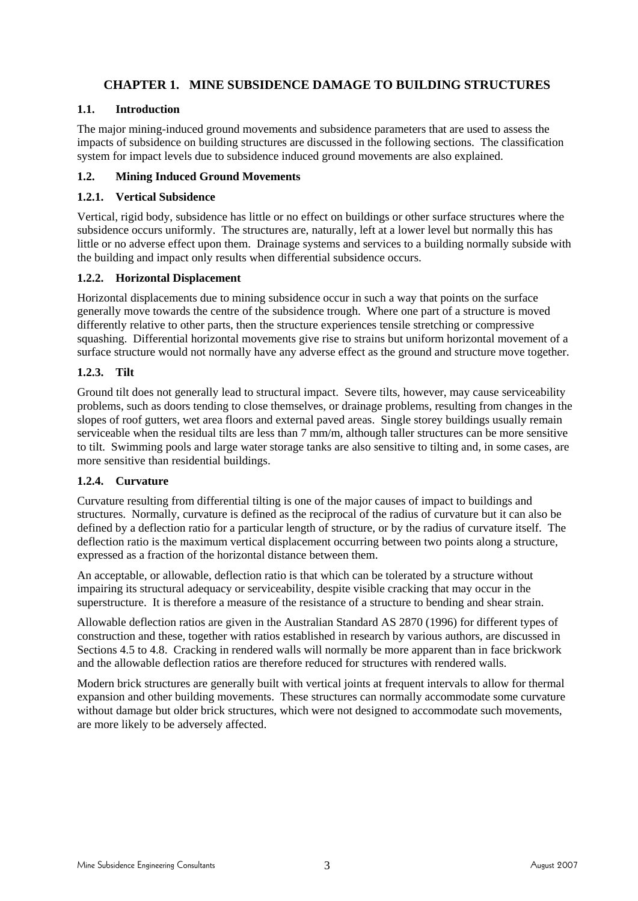### **CHAPTER 1. MINE SUBSIDENCE DAMAGE TO BUILDING STRUCTURES**

#### **1.1. Introduction**

The major mining-induced ground movements and subsidence parameters that are used to assess the impacts of subsidence on building structures are discussed in the following sections. The classification system for impact levels due to subsidence induced ground movements are also explained.

#### **1.2. Mining Induced Ground Movements**

#### **1.2.1. Vertical Subsidence**

Vertical, rigid body, subsidence has little or no effect on buildings or other surface structures where the subsidence occurs uniformly. The structures are, naturally, left at a lower level but normally this has little or no adverse effect upon them. Drainage systems and services to a building normally subside with the building and impact only results when differential subsidence occurs.

#### **1.2.2. Horizontal Displacement**

Horizontal displacements due to mining subsidence occur in such a way that points on the surface generally move towards the centre of the subsidence trough. Where one part of a structure is moved differently relative to other parts, then the structure experiences tensile stretching or compressive squashing. Differential horizontal movements give rise to strains but uniform horizontal movement of a surface structure would not normally have any adverse effect as the ground and structure move together.

#### **1.2.3. Tilt**

Ground tilt does not generally lead to structural impact. Severe tilts, however, may cause serviceability problems, such as doors tending to close themselves, or drainage problems, resulting from changes in the slopes of roof gutters, wet area floors and external paved areas. Single storey buildings usually remain serviceable when the residual tilts are less than 7 mm/m, although taller structures can be more sensitive to tilt. Swimming pools and large water storage tanks are also sensitive to tilting and, in some cases, are more sensitive than residential buildings.

#### **1.2.4. Curvature**

Curvature resulting from differential tilting is one of the major causes of impact to buildings and structures. Normally, curvature is defined as the reciprocal of the radius of curvature but it can also be defined by a deflection ratio for a particular length of structure, or by the radius of curvature itself. The deflection ratio is the maximum vertical displacement occurring between two points along a structure, expressed as a fraction of the horizontal distance between them.

An acceptable, or allowable, deflection ratio is that which can be tolerated by a structure without impairing its structural adequacy or serviceability, despite visible cracking that may occur in the superstructure. It is therefore a measure of the resistance of a structure to bending and shear strain.

Allowable deflection ratios are given in the Australian Standard AS 2870 (1996) for different types of construction and these, together with ratios established in research by various authors, are discussed in Sections 4.5 to 4.8. Cracking in rendered walls will normally be more apparent than in face brickwork and the allowable deflection ratios are therefore reduced for structures with rendered walls.

Modern brick structures are generally built with vertical joints at frequent intervals to allow for thermal expansion and other building movements. These structures can normally accommodate some curvature without damage but older brick structures, which were not designed to accommodate such movements, are more likely to be adversely affected.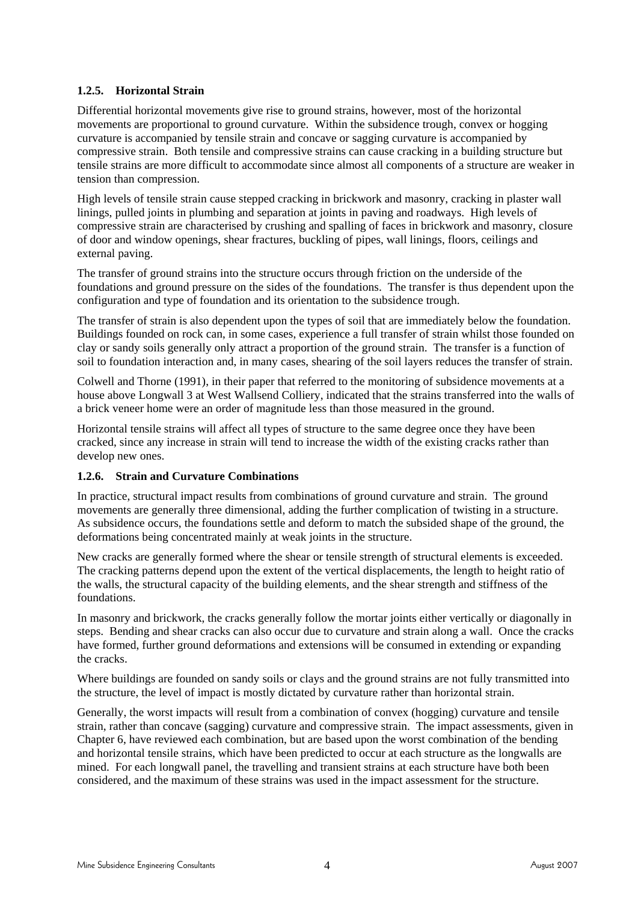#### **1.2.5. Horizontal Strain**

Differential horizontal movements give rise to ground strains, however, most of the horizontal movements are proportional to ground curvature. Within the subsidence trough, convex or hogging curvature is accompanied by tensile strain and concave or sagging curvature is accompanied by compressive strain. Both tensile and compressive strains can cause cracking in a building structure but tensile strains are more difficult to accommodate since almost all components of a structure are weaker in tension than compression.

High levels of tensile strain cause stepped cracking in brickwork and masonry, cracking in plaster wall linings, pulled joints in plumbing and separation at joints in paving and roadways. High levels of compressive strain are characterised by crushing and spalling of faces in brickwork and masonry, closure of door and window openings, shear fractures, buckling of pipes, wall linings, floors, ceilings and external paving.

The transfer of ground strains into the structure occurs through friction on the underside of the foundations and ground pressure on the sides of the foundations. The transfer is thus dependent upon the configuration and type of foundation and its orientation to the subsidence trough.

The transfer of strain is also dependent upon the types of soil that are immediately below the foundation. Buildings founded on rock can, in some cases, experience a full transfer of strain whilst those founded on clay or sandy soils generally only attract a proportion of the ground strain. The transfer is a function of soil to foundation interaction and, in many cases, shearing of the soil layers reduces the transfer of strain.

Colwell and Thorne (1991), in their paper that referred to the monitoring of subsidence movements at a house above Longwall 3 at West Wallsend Colliery, indicated that the strains transferred into the walls of a brick veneer home were an order of magnitude less than those measured in the ground.

Horizontal tensile strains will affect all types of structure to the same degree once they have been cracked, since any increase in strain will tend to increase the width of the existing cracks rather than develop new ones.

#### **1.2.6. Strain and Curvature Combinations**

In practice, structural impact results from combinations of ground curvature and strain. The ground movements are generally three dimensional, adding the further complication of twisting in a structure. As subsidence occurs, the foundations settle and deform to match the subsided shape of the ground, the deformations being concentrated mainly at weak joints in the structure.

New cracks are generally formed where the shear or tensile strength of structural elements is exceeded. The cracking patterns depend upon the extent of the vertical displacements, the length to height ratio of the walls, the structural capacity of the building elements, and the shear strength and stiffness of the foundations.

In masonry and brickwork, the cracks generally follow the mortar joints either vertically or diagonally in steps. Bending and shear cracks can also occur due to curvature and strain along a wall. Once the cracks have formed, further ground deformations and extensions will be consumed in extending or expanding the cracks.

Where buildings are founded on sandy soils or clays and the ground strains are not fully transmitted into the structure, the level of impact is mostly dictated by curvature rather than horizontal strain.

Generally, the worst impacts will result from a combination of convex (hogging) curvature and tensile strain, rather than concave (sagging) curvature and compressive strain. The impact assessments, given in Chapter 6, have reviewed each combination, but are based upon the worst combination of the bending and horizontal tensile strains, which have been predicted to occur at each structure as the longwalls are mined. For each longwall panel, the travelling and transient strains at each structure have both been considered, and the maximum of these strains was used in the impact assessment for the structure.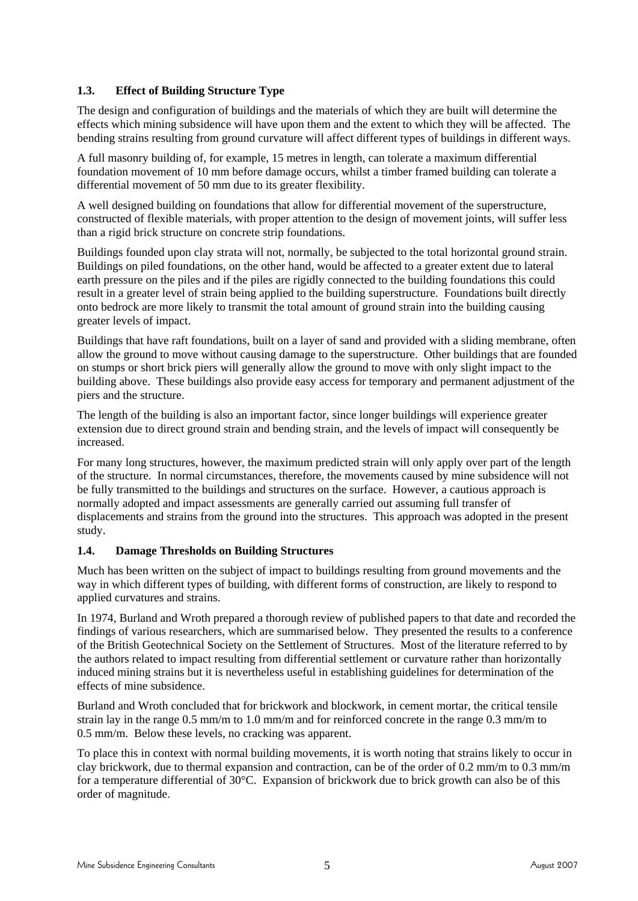#### **1.3. Effect of Building Structure Type**

The design and configuration of buildings and the materials of which they are built will determine the effects which mining subsidence will have upon them and the extent to which they will be affected. The bending strains resulting from ground curvature will affect different types of buildings in different ways.

A full masonry building of, for example, 15 metres in length, can tolerate a maximum differential foundation movement of 10 mm before damage occurs, whilst a timber framed building can tolerate a differential movement of 50 mm due to its greater flexibility.

A well designed building on foundations that allow for differential movement of the superstructure, constructed of flexible materials, with proper attention to the design of movement joints, will suffer less than a rigid brick structure on concrete strip foundations.

Buildings founded upon clay strata will not, normally, be subjected to the total horizontal ground strain. Buildings on piled foundations, on the other hand, would be affected to a greater extent due to lateral earth pressure on the piles and if the piles are rigidly connected to the building foundations this could result in a greater level of strain being applied to the building superstructure. Foundations built directly onto bedrock are more likely to transmit the total amount of ground strain into the building causing greater levels of impact.

Buildings that have raft foundations, built on a layer of sand and provided with a sliding membrane, often allow the ground to move without causing damage to the superstructure. Other buildings that are founded on stumps or short brick piers will generally allow the ground to move with only slight impact to the building above. These buildings also provide easy access for temporary and permanent adjustment of the piers and the structure.

The length of the building is also an important factor, since longer buildings will experience greater extension due to direct ground strain and bending strain, and the levels of impact will consequently be increased.

For many long structures, however, the maximum predicted strain will only apply over part of the length of the structure. In normal circumstances, therefore, the movements caused by mine subsidence will not be fully transmitted to the buildings and structures on the surface. However, a cautious approach is normally adopted and impact assessments are generally carried out assuming full transfer of displacements and strains from the ground into the structures. This approach was adopted in the present study.

#### **1.4. Damage Thresholds on Building Structures**

Much has been written on the subject of impact to buildings resulting from ground movements and the way in which different types of building, with different forms of construction, are likely to respond to applied curvatures and strains.

In 1974, Burland and Wroth prepared a thorough review of published papers to that date and recorded the findings of various researchers, which are summarised below. They presented the results to a conference of the British Geotechnical Society on the Settlement of Structures. Most of the literature referred to by the authors related to impact resulting from differential settlement or curvature rather than horizontally induced mining strains but it is nevertheless useful in establishing guidelines for determination of the effects of mine subsidence.

Burland and Wroth concluded that for brickwork and blockwork, in cement mortar, the critical tensile strain lay in the range 0.5 mm/m to 1.0 mm/m and for reinforced concrete in the range 0.3 mm/m to 0.5 mm/m. Below these levels, no cracking was apparent.

To place this in context with normal building movements, it is worth noting that strains likely to occur in clay brickwork, due to thermal expansion and contraction, can be of the order of 0.2 mm/m to 0.3 mm/m for a temperature differential of 30°C. Expansion of brickwork due to brick growth can also be of this order of magnitude.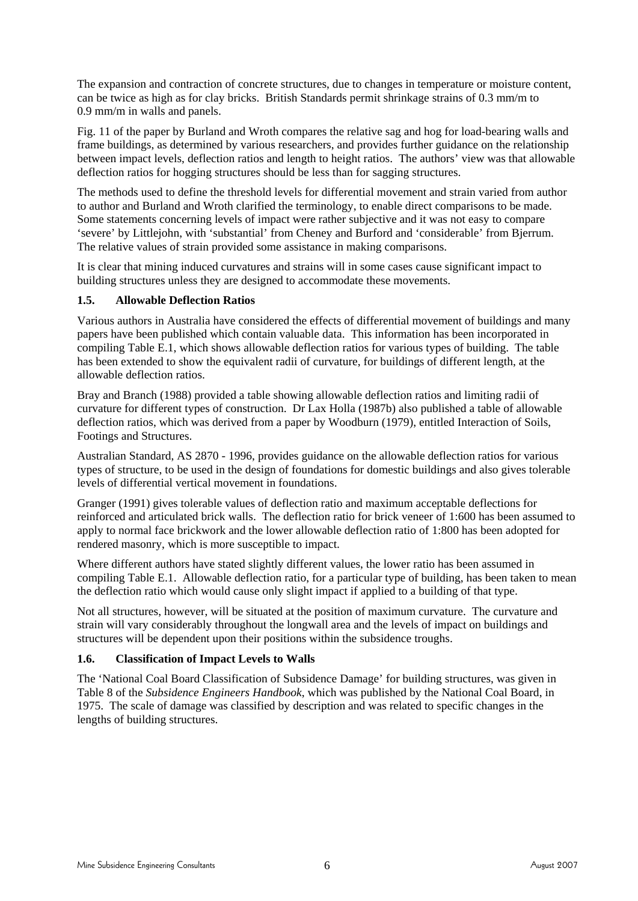The expansion and contraction of concrete structures, due to changes in temperature or moisture content, can be twice as high as for clay bricks. British Standards permit shrinkage strains of 0.3 mm/m to 0.9 mm/m in walls and panels.

Fig. 11 of the paper by Burland and Wroth compares the relative sag and hog for load-bearing walls and frame buildings, as determined by various researchers, and provides further guidance on the relationship between impact levels, deflection ratios and length to height ratios. The authors' view was that allowable deflection ratios for hogging structures should be less than for sagging structures.

The methods used to define the threshold levels for differential movement and strain varied from author to author and Burland and Wroth clarified the terminology, to enable direct comparisons to be made. Some statements concerning levels of impact were rather subjective and it was not easy to compare 'severe' by Littlejohn, with 'substantial' from Cheney and Burford and 'considerable' from Bjerrum. The relative values of strain provided some assistance in making comparisons.

It is clear that mining induced curvatures and strains will in some cases cause significant impact to building structures unless they are designed to accommodate these movements.

#### **1.5. Allowable Deflection Ratios**

Various authors in Australia have considered the effects of differential movement of buildings and many papers have been published which contain valuable data. This information has been incorporated in compiling Table E.1, which shows allowable deflection ratios for various types of building. The table has been extended to show the equivalent radii of curvature, for buildings of different length, at the allowable deflection ratios.

Bray and Branch (1988) provided a table showing allowable deflection ratios and limiting radii of curvature for different types of construction. Dr Lax Holla (1987b) also published a table of allowable deflection ratios, which was derived from a paper by Woodburn (1979), entitled Interaction of Soils, Footings and Structures.

Australian Standard, AS 2870 - 1996, provides guidance on the allowable deflection ratios for various types of structure, to be used in the design of foundations for domestic buildings and also gives tolerable levels of differential vertical movement in foundations.

Granger (1991) gives tolerable values of deflection ratio and maximum acceptable deflections for reinforced and articulated brick walls. The deflection ratio for brick veneer of 1:600 has been assumed to apply to normal face brickwork and the lower allowable deflection ratio of 1:800 has been adopted for rendered masonry, which is more susceptible to impact.

Where different authors have stated slightly different values, the lower ratio has been assumed in compiling Table E.1. Allowable deflection ratio, for a particular type of building, has been taken to mean the deflection ratio which would cause only slight impact if applied to a building of that type.

Not all structures, however, will be situated at the position of maximum curvature. The curvature and strain will vary considerably throughout the longwall area and the levels of impact on buildings and structures will be dependent upon their positions within the subsidence troughs.

#### **1.6. Classification of Impact Levels to Walls**

The 'National Coal Board Classification of Subsidence Damage' for building structures, was given in Table 8 of the *Subsidence Engineers Handbook*, which was published by the National Coal Board, in 1975. The scale of damage was classified by description and was related to specific changes in the lengths of building structures.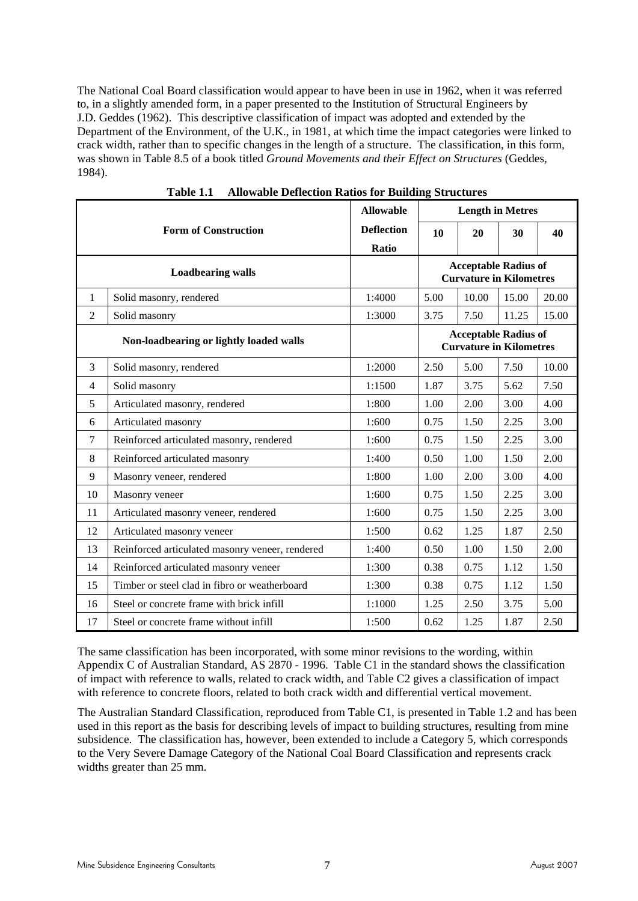The National Coal Board classification would appear to have been in use in 1962, when it was referred to, in a slightly amended form, in a paper presented to the Institution of Structural Engineers by J.D. Geddes (1962). This descriptive classification of impact was adopted and extended by the Department of the Environment, of the U.K., in 1981, at which time the impact categories were linked to crack width, rather than to specific changes in the length of a structure. The classification, in this form, was shown in Table 8.5 of a book titled *Ground Movements and their Effect on Structures* (Geddes, 1984).

|                |                                                 | <b>Allowable</b>  | <b>Length in Metres</b>                                       |                                                               |       |       |  |
|----------------|-------------------------------------------------|-------------------|---------------------------------------------------------------|---------------------------------------------------------------|-------|-------|--|
|                | <b>Form of Construction</b>                     | <b>Deflection</b> | 10                                                            | 20                                                            | 30    | 40    |  |
|                |                                                 | Ratio             |                                                               |                                                               |       |       |  |
|                | <b>Loadbearing walls</b>                        |                   | <b>Acceptable Radius of</b><br><b>Curvature in Kilometres</b> |                                                               |       |       |  |
| 1              | Solid masonry, rendered                         | 1:4000            | 5.00                                                          | 10.00                                                         | 15.00 | 20.00 |  |
| $\overline{2}$ | Solid masonry                                   | 1:3000            | 3.75                                                          | 7.50                                                          | 11.25 | 15.00 |  |
|                | Non-loadbearing or lightly loaded walls         |                   |                                                               | <b>Acceptable Radius of</b><br><b>Curvature in Kilometres</b> |       |       |  |
| 3              | Solid masonry, rendered                         | 1:2000            | 2.50                                                          | 5.00                                                          | 7.50  | 10.00 |  |
| $\overline{4}$ | Solid masonry                                   | 1:1500            | 1.87                                                          | 3.75                                                          | 5.62  | 7.50  |  |
| 5              | Articulated masonry, rendered                   | 1:800             | 1.00                                                          | 2.00                                                          | 3.00  | 4.00  |  |
| 6              | Articulated masonry                             | 1:600             | 0.75                                                          | 1.50                                                          | 2.25  | 3.00  |  |
| $\tau$         | Reinforced articulated masonry, rendered        | 1:600             | 0.75                                                          | 1.50                                                          | 2.25  | 3.00  |  |
| $\,8\,$        | Reinforced articulated masonry                  | 1:400             | 0.50                                                          | 1.00                                                          | 1.50  | 2.00  |  |
| 9              | Masonry veneer, rendered                        | 1:800             | 1.00                                                          | 2.00                                                          | 3.00  | 4.00  |  |
| 10             | Masonry veneer                                  | 1:600             | 0.75                                                          | 1.50                                                          | 2.25  | 3.00  |  |
| 11             | Articulated masonry veneer, rendered            | 1:600             | 0.75                                                          | 1.50                                                          | 2.25  | 3.00  |  |
| 12             | Articulated masonry veneer                      | 1:500             | 0.62                                                          | 1.25                                                          | 1.87  | 2.50  |  |
| 13             | Reinforced articulated masonry veneer, rendered | 1:400             | 0.50                                                          | 1.00                                                          | 1.50  | 2.00  |  |
| 14             | Reinforced articulated masonry veneer           | 1:300             | 0.38                                                          | 0.75                                                          | 1.12  | 1.50  |  |
| 15             | Timber or steel clad in fibro or weatherboard   | 1:300             | 0.38                                                          | 0.75                                                          | 1.12  | 1.50  |  |
| 16             | Steel or concrete frame with brick infill       | 1:1000            | 1.25                                                          | 2.50                                                          | 3.75  | 5.00  |  |
| 17             | Steel or concrete frame without infill          | 1:500             | 0.62                                                          | 1.25                                                          | 1.87  | 2.50  |  |

**Table 1.1 Allowable Deflection Ratios for Building Structures** 

The same classification has been incorporated, with some minor revisions to the wording, within Appendix C of Australian Standard, AS 2870 - 1996. Table C1 in the standard shows the classification of impact with reference to walls, related to crack width, and Table C2 gives a classification of impact with reference to concrete floors, related to both crack width and differential vertical movement.

The Australian Standard Classification, reproduced from Table C1, is presented in Table 1.2 and has been used in this report as the basis for describing levels of impact to building structures, resulting from mine subsidence. The classification has, however, been extended to include a Category 5, which corresponds to the Very Severe Damage Category of the National Coal Board Classification and represents crack widths greater than 25 mm.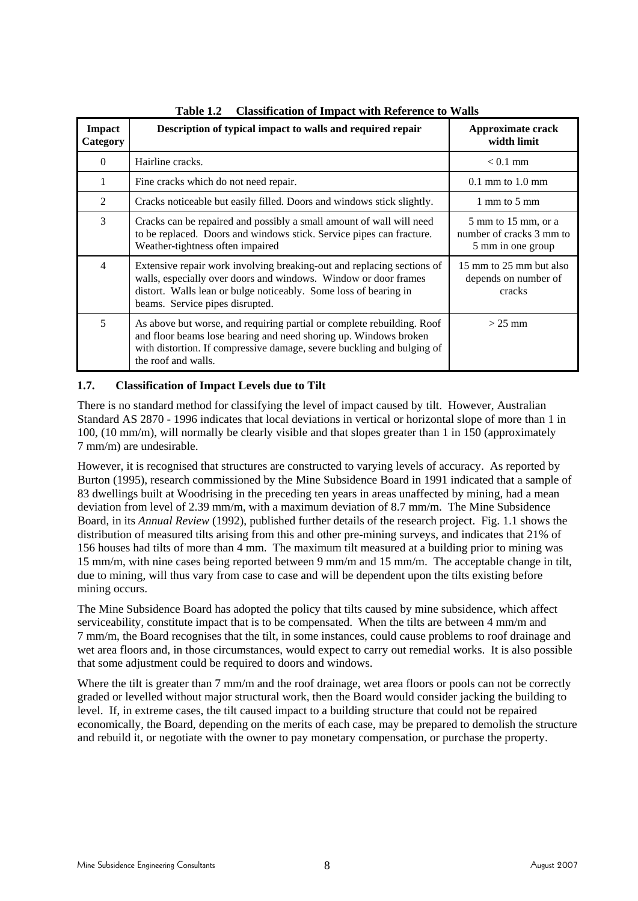| <b>Impact</b><br>Category | Description of typical impact to walls and required repair                                                                                                                                                                                       | Approximate crack<br>width limit                                                          |  |
|---------------------------|--------------------------------------------------------------------------------------------------------------------------------------------------------------------------------------------------------------------------------------------------|-------------------------------------------------------------------------------------------|--|
| $\Omega$                  | Hairline cracks.                                                                                                                                                                                                                                 | $< 0.1$ mm                                                                                |  |
|                           | Fine cracks which do not need repair.                                                                                                                                                                                                            | $0.1 \text{ mm}$ to $1.0 \text{ mm}$                                                      |  |
| 2                         | Cracks noticeable but easily filled. Doors and windows stick slightly.                                                                                                                                                                           | 1 mm to 5 mm                                                                              |  |
| 3                         | Cracks can be repaired and possibly a small amount of wall will need<br>to be replaced. Doors and windows stick. Service pipes can fracture.<br>Weather-tightness often impaired                                                                 | $5 \text{ mm}$ to $15 \text{ mm}$ , or a<br>number of cracks 3 mm to<br>5 mm in one group |  |
| 4                         | Extensive repair work involving breaking-out and replacing sections of<br>walls, especially over doors and windows. Window or door frames<br>distort. Walls lean or bulge noticeably. Some loss of bearing in<br>beams. Service pipes disrupted. | 15 mm to 25 mm but also<br>depends on number of<br>cracks                                 |  |
| 5                         | As above but worse, and requiring partial or complete rebuilding. Roof<br>and floor beams lose bearing and need shoring up. Windows broken<br>with distortion. If compressive damage, severe buckling and bulging of<br>the roof and walls.      | $>$ 25 mm                                                                                 |  |

**Table 1.2 Classification of Impact with Reference to Walls** 

#### **1.7. Classification of Impact Levels due to Tilt**

There is no standard method for classifying the level of impact caused by tilt. However, Australian Standard AS 2870 - 1996 indicates that local deviations in vertical or horizontal slope of more than 1 in 100, (10 mm/m), will normally be clearly visible and that slopes greater than 1 in 150 (approximately 7 mm/m) are undesirable.

However, it is recognised that structures are constructed to varying levels of accuracy. As reported by Burton (1995), research commissioned by the Mine Subsidence Board in 1991 indicated that a sample of 83 dwellings built at Woodrising in the preceding ten years in areas unaffected by mining, had a mean deviation from level of 2.39 mm/m, with a maximum deviation of 8.7 mm/m. The Mine Subsidence Board, in its *Annual Review* (1992), published further details of the research project. Fig. 1.1 shows the distribution of measured tilts arising from this and other pre-mining surveys, and indicates that 21% of 156 houses had tilts of more than 4 mm. The maximum tilt measured at a building prior to mining was 15 mm/m, with nine cases being reported between 9 mm/m and 15 mm/m. The acceptable change in tilt, due to mining, will thus vary from case to case and will be dependent upon the tilts existing before mining occurs.

The Mine Subsidence Board has adopted the policy that tilts caused by mine subsidence, which affect serviceability, constitute impact that is to be compensated. When the tilts are between 4 mm/m and 7 mm/m, the Board recognises that the tilt, in some instances, could cause problems to roof drainage and wet area floors and, in those circumstances, would expect to carry out remedial works. It is also possible that some adjustment could be required to doors and windows.

Where the tilt is greater than 7 mm/m and the roof drainage, wet area floors or pools can not be correctly graded or levelled without major structural work, then the Board would consider jacking the building to level. If, in extreme cases, the tilt caused impact to a building structure that could not be repaired economically, the Board, depending on the merits of each case, may be prepared to demolish the structure and rebuild it, or negotiate with the owner to pay monetary compensation, or purchase the property.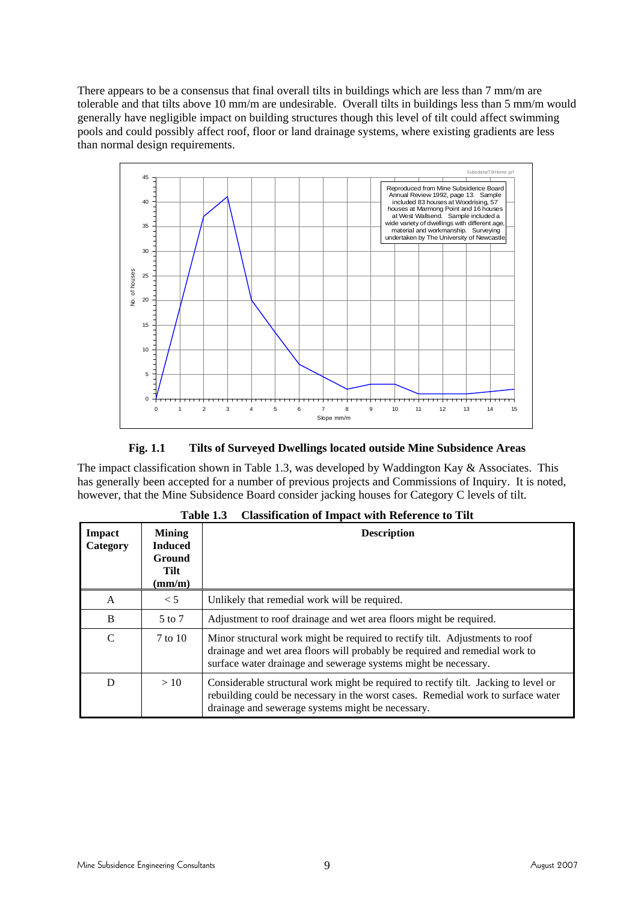There appears to be a consensus that final overall tilts in buildings which are less than 7 mm/m are tolerable and that tilts above 10 mm/m are undesirable. Overall tilts in buildings less than 5 mm/m would generally have negligible impact on building structures though this level of tilt could affect swimming pools and could possibly affect roof, floor or land drainage systems, where existing gradients are less than normal design requirements.



**Fig. 1.1 Tilts of Surveyed Dwellings located outside Mine Subsidence Areas** 

The impact classification shown in Table 1.3, was developed by Waddington Kay & Associates. This has generally been accepted for a number of previous projects and Commissions of Inquiry. It is noted, however, that the Mine Subsidence Board consider jacking houses for Category C levels of tilt.

| Impact<br>Category | <b>Mining</b><br><b>Induced</b><br><b>Ground</b><br>Tilt<br>$\textbf{(mm/m)}$ | <b>Description</b>                                                                                                                                                                                                             |
|--------------------|-------------------------------------------------------------------------------|--------------------------------------------------------------------------------------------------------------------------------------------------------------------------------------------------------------------------------|
| A                  | < 5                                                                           | Unlikely that remedial work will be required.                                                                                                                                                                                  |
| B                  | $5$ to $7$                                                                    | Adjustment to roof drainage and wet area floors might be required.                                                                                                                                                             |
| C                  | 7 to 10                                                                       | Minor structural work might be required to rectify tilt. Adjustments to roof<br>drainage and wet area floors will probably be required and remedial work to<br>surface water drainage and sewerage systems might be necessary. |
| D                  | >10                                                                           | Considerable structural work might be required to rectify tilt. Jacking to level or<br>rebuilding could be necessary in the worst cases. Remedial work to surface water<br>drainage and sewerage systems might be necessary.   |

|  | Table 1.3 Classification of Impact with Reference to Tilt |  |  |  |
|--|-----------------------------------------------------------|--|--|--|
|--|-----------------------------------------------------------|--|--|--|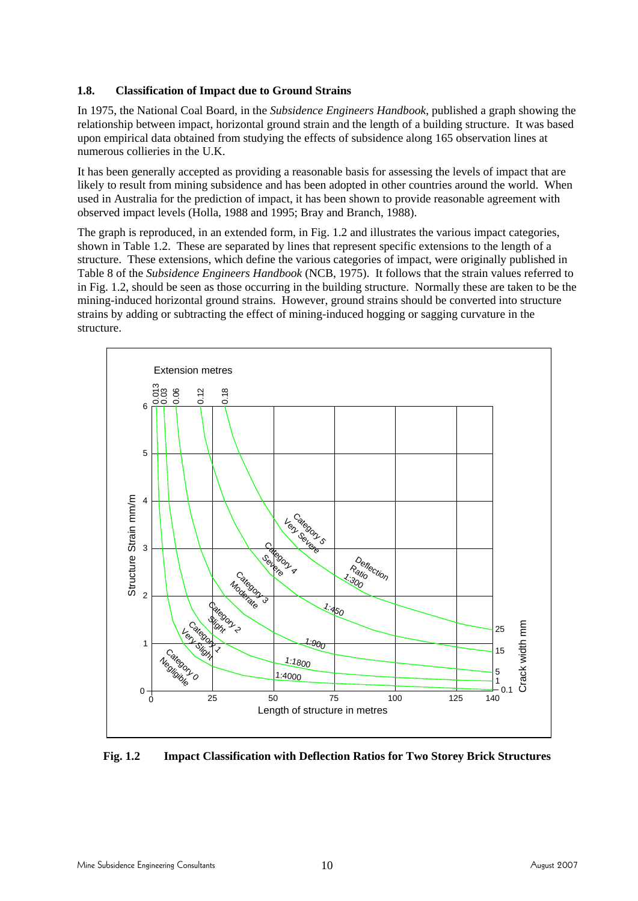#### **1.8. Classification of Impact due to Ground Strains**

In 1975, the National Coal Board, in the *Subsidence Engineers Handbook*, published a graph showing the relationship between impact, horizontal ground strain and the length of a building structure. It was based upon empirical data obtained from studying the effects of subsidence along 165 observation lines at numerous collieries in the U.K.

It has been generally accepted as providing a reasonable basis for assessing the levels of impact that are likely to result from mining subsidence and has been adopted in other countries around the world. When used in Australia for the prediction of impact, it has been shown to provide reasonable agreement with observed impact levels (Holla, 1988 and 1995; Bray and Branch, 1988).

The graph is reproduced, in an extended form, in Fig. 1.2 and illustrates the various impact categories, shown in Table 1.2. These are separated by lines that represent specific extensions to the length of a structure. These extensions, which define the various categories of impact, were originally published in Table 8 of the *Subsidence Engineers Handbook* (NCB, 1975). It follows that the strain values referred to in Fig. 1.2, should be seen as those occurring in the building structure. Normally these are taken to be the mining-induced horizontal ground strains. However, ground strains should be converted into structure strains by adding or subtracting the effect of mining-induced hogging or sagging curvature in the structure.



**Fig. 1.2 Impact Classification with Deflection Ratios for Two Storey Brick Structures**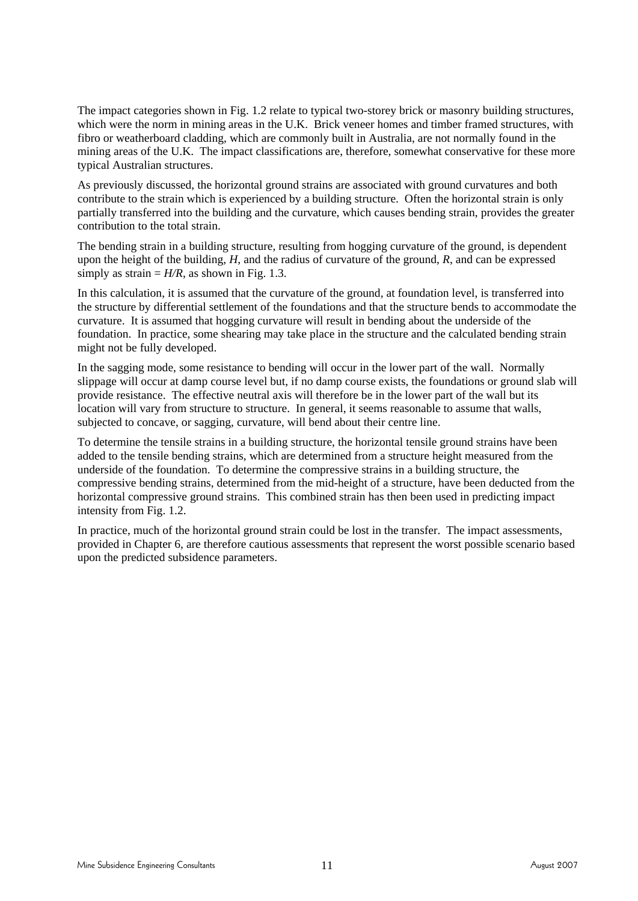The impact categories shown in Fig. 1.2 relate to typical two-storey brick or masonry building structures, which were the norm in mining areas in the U.K. Brick veneer homes and timber framed structures, with fibro or weatherboard cladding, which are commonly built in Australia, are not normally found in the mining areas of the U.K. The impact classifications are, therefore, somewhat conservative for these more typical Australian structures.

As previously discussed, the horizontal ground strains are associated with ground curvatures and both contribute to the strain which is experienced by a building structure. Often the horizontal strain is only partially transferred into the building and the curvature, which causes bending strain, provides the greater contribution to the total strain.

The bending strain in a building structure, resulting from hogging curvature of the ground, is dependent upon the height of the building, *H*, and the radius of curvature of the ground, *R*, and can be expressed simply as strain  $=$  *H/R*, as shown in Fig. 1.3.

In this calculation, it is assumed that the curvature of the ground, at foundation level, is transferred into the structure by differential settlement of the foundations and that the structure bends to accommodate the curvature. It is assumed that hogging curvature will result in bending about the underside of the foundation. In practice, some shearing may take place in the structure and the calculated bending strain might not be fully developed.

In the sagging mode, some resistance to bending will occur in the lower part of the wall. Normally slippage will occur at damp course level but, if no damp course exists, the foundations or ground slab will provide resistance. The effective neutral axis will therefore be in the lower part of the wall but its location will vary from structure to structure. In general, it seems reasonable to assume that walls, subjected to concave, or sagging, curvature, will bend about their centre line.

To determine the tensile strains in a building structure, the horizontal tensile ground strains have been added to the tensile bending strains, which are determined from a structure height measured from the underside of the foundation. To determine the compressive strains in a building structure, the compressive bending strains, determined from the mid-height of a structure, have been deducted from the horizontal compressive ground strains. This combined strain has then been used in predicting impact intensity from Fig. 1.2.

In practice, much of the horizontal ground strain could be lost in the transfer. The impact assessments, provided in Chapter 6, are therefore cautious assessments that represent the worst possible scenario based upon the predicted subsidence parameters.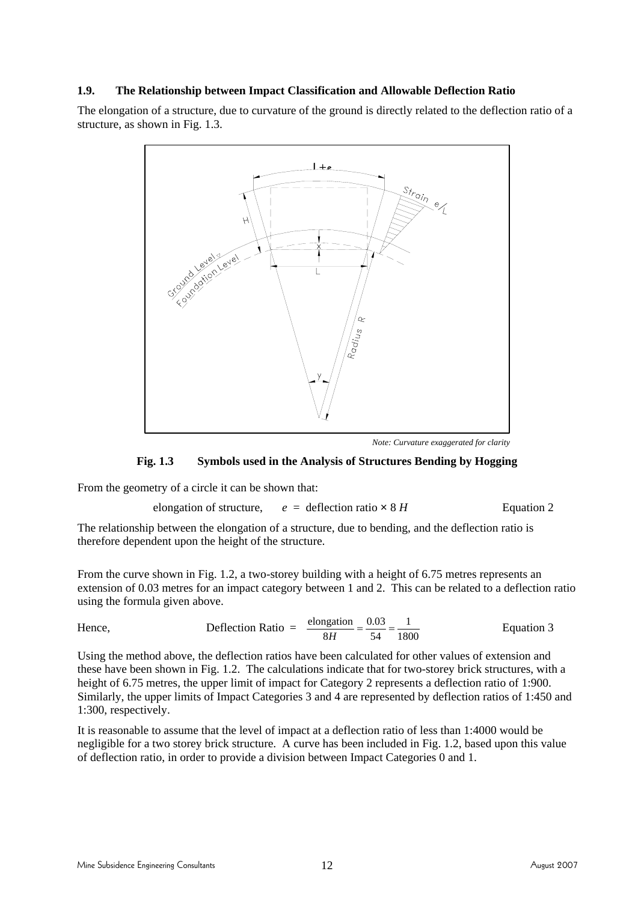#### **1.9. The Relationship between Impact Classification and Allowable Deflection Ratio**

The elongation of a structure, due to curvature of the ground is directly related to the deflection ratio of a structure, as shown in Fig. 1.3.



*Note: Curvature exaggerated for clarity* 

#### **Fig. 1.3 Symbols used in the Analysis of Structures Bending by Hogging**

From the geometry of a circle it can be shown that:

elongation of structure,  $e =$  deflection ratio  $\times 8$  *H* Equation 2

The relationship between the elongation of a structure, due to bending, and the deflection ratio is therefore dependent upon the height of the structure.

From the curve shown in Fig. 1.2, a two-storey building with a height of 6.75 metres represents an extension of 0.03 metres for an impact category between 1 and 2. This can be related to a deflection ratio using the formula given above.

Hence, Deflection Ratio = 
$$
\frac{\text{elongation}}{8H} = \frac{0.03}{54} = \frac{1}{1800}
$$
 Equation 3

Using the method above, the deflection ratios have been calculated for other values of extension and these have been shown in Fig. 1.2. The calculations indicate that for two-storey brick structures, with a height of 6.75 metres, the upper limit of impact for Category 2 represents a deflection ratio of 1:900. Similarly, the upper limits of Impact Categories 3 and 4 are represented by deflection ratios of 1:450 and 1:300, respectively.

It is reasonable to assume that the level of impact at a deflection ratio of less than 1:4000 would be negligible for a two storey brick structure. A curve has been included in Fig. 1.2, based upon this value of deflection ratio, in order to provide a division between Impact Categories 0 and 1.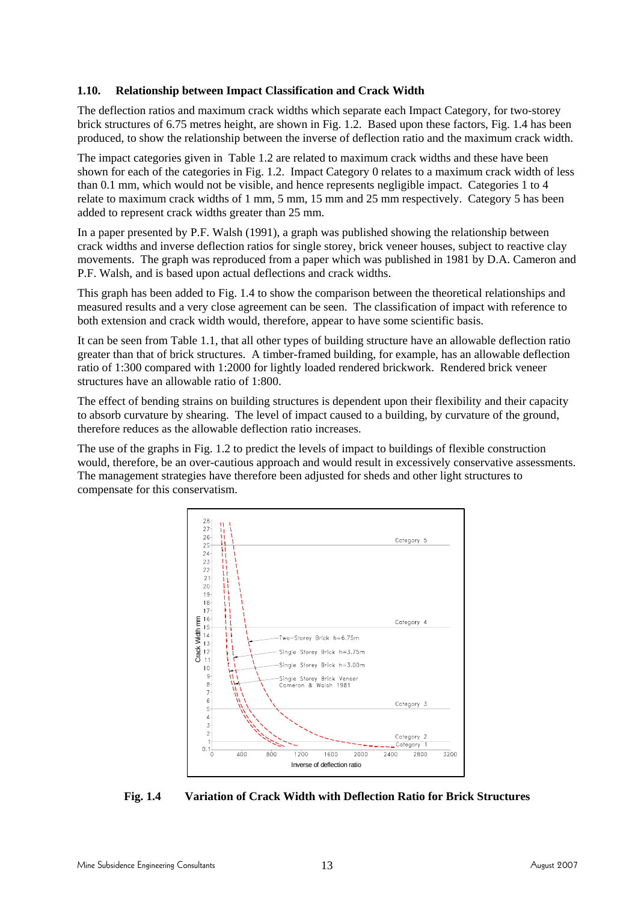#### **1.10. Relationship between Impact Classification and Crack Width**

The deflection ratios and maximum crack widths which separate each Impact Category, for two-storey brick structures of 6.75 metres height, are shown in Fig. 1.2. Based upon these factors, Fig. 1.4 has been produced, to show the relationship between the inverse of deflection ratio and the maximum crack width.

The impact categories given in Table 1.2 are related to maximum crack widths and these have been shown for each of the categories in Fig. 1.2. Impact Category 0 relates to a maximum crack width of less than 0.1 mm, which would not be visible, and hence represents negligible impact. Categories 1 to 4 relate to maximum crack widths of 1 mm, 5 mm, 15 mm and 25 mm respectively. Category 5 has been added to represent crack widths greater than 25 mm.

In a paper presented by P.F. Walsh (1991), a graph was published showing the relationship between crack widths and inverse deflection ratios for single storey, brick veneer houses, subject to reactive clay movements. The graph was reproduced from a paper which was published in 1981 by D.A. Cameron and P.F. Walsh, and is based upon actual deflections and crack widths.

This graph has been added to Fig. 1.4 to show the comparison between the theoretical relationships and measured results and a very close agreement can be seen. The classification of impact with reference to both extension and crack width would, therefore, appear to have some scientific basis.

It can be seen from Table 1.1, that all other types of building structure have an allowable deflection ratio greater than that of brick structures. A timber-framed building, for example, has an allowable deflection ratio of 1:300 compared with 1:2000 for lightly loaded rendered brickwork. Rendered brick veneer structures have an allowable ratio of 1:800.

The effect of bending strains on building structures is dependent upon their flexibility and their capacity to absorb curvature by shearing. The level of impact caused to a building, by curvature of the ground, therefore reduces as the allowable deflection ratio increases.

The use of the graphs in Fig. 1.2 to predict the levels of impact to buildings of flexible construction would, therefore, be an over-cautious approach and would result in excessively conservative assessments. The management strategies have therefore been adjusted for sheds and other light structures to compensate for this conservatism.